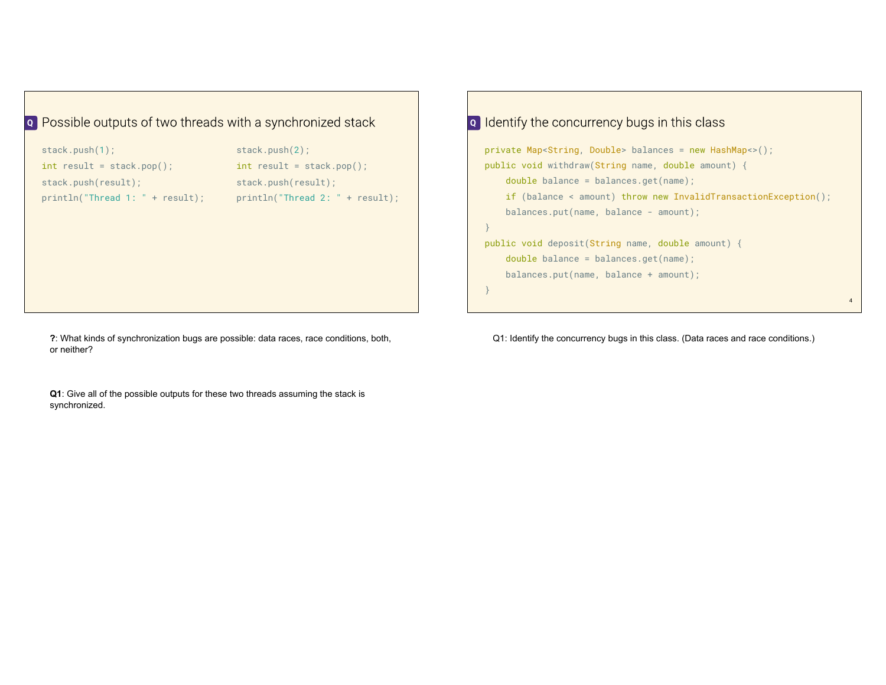## **Q** Possible outputs of two threads with a synchronized stack

| stack.push(1);                    | stack.push(2);                     |  |  |
|-----------------------------------|------------------------------------|--|--|
| $int result = stack.pop()$        | $int result = stack.pop()$         |  |  |
| stack.push(result);               | stack.push(result);                |  |  |
| $println("Thread 1: " + result):$ | $printh(m("Thread 2: " + result):$ |  |  |
|                                   |                                    |  |  |

**?**: What kinds of synchronization bugs are possible: data races, race conditions, both, or neither?

**Q1**: Give all of the possible outputs for these two threads assuming the stack is synchronized.

## private Map<String, Double> balances = new HashMap<>(); public void withdraw(String name, double amount) { double balance = balances.get(name); if (balance < amount) throw new InvalidTransactionException(); balances.put(name, balance - amount); } public void deposit(String name, double amount) { double balance = balances.get(name); balances.put(name, balance + amount); } **Q** Identify the concurrency bugs in this class

Q1: Identify the concurrency bugs in this class. (Data races and race conditions.)

4